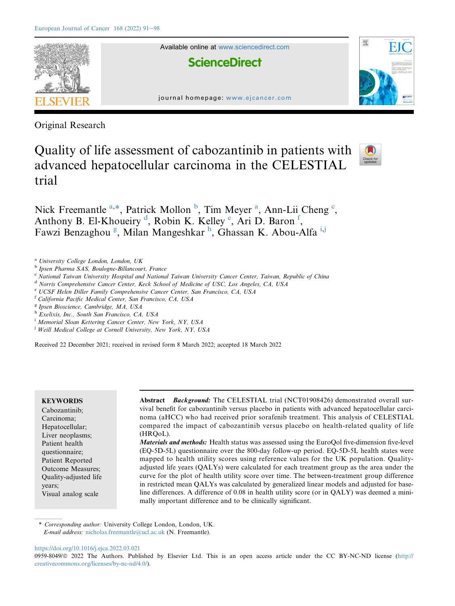

Original Research

Quality of life assessment of cabozantinib in patients with advanced hepatocellular carcinoma in the CELESTIAL trial



Nick Freemantle [a,](#page-0-0)[\\*,](#page-0-1) Patrick Mollon [b](#page-0-2), Tim Meyer [a](#page-0-0), Ann-Lii Cheng [c](#page-0-3), Anthony B. El-Khoueiry<sup>[d](#page-0-4)</sup>, Robin K. K[e](#page-0-5)lley<sup>e</sup>, Ari D. Baron<sup>[f](#page-0-6)</sup>, Fawzi Benza[g](#page-0-7)[h](#page-0-8)ou<sup>g</sup>, Milan Mangeshkar<sup>h</sup>, Ghassan K. Abou-Alfa<sup>[i,](#page-0-9)[j](#page-0-10)</sup>

<span id="page-0-2"></span><sup>b</sup> Ipsen Pharma SAS, Boulogne-Billancourt, France

<span id="page-0-3"></span><sup>c</sup> National Taiwan University Hospital and National Taiwan University Cancer Center, Taiwan, Republic of China

<span id="page-0-4"></span><sup>d</sup> Norris Comprehensive Cancer Center, Keck School of Medicine of USC, Los Angeles, CA, USA

<span id="page-0-5"></span><sup>e</sup> UCSF Helen Diller Family Comprehensive Cancer Center, San Francisco, CA, USA

<span id="page-0-6"></span><sup>f</sup> California Pacific Medical Center, San Francisco, CA, USA

<span id="page-0-7"></span><sup>g</sup> Ipsen Bioscience, Cambridge, MA, USA

<span id="page-0-8"></span>h Exelixis, Inc., South San Francisco, CA, USA

<span id="page-0-9"></span><sup>i</sup> Memorial Sloan Kettering Cancer Center, New York, NY, USA

<span id="page-0-10"></span><sup>j</sup> Weill Medical College at Cornell University, New York, NY, USA

Received 22 December 2021; received in revised form 8 March 2022; accepted 18 March 2022

# **KEYWORDS**

Cabozantinib; Carcinoma; Hepatocellular; Liver neoplasms; Patient health questionnaire; Patient Reported Outcome Measures; Quality-adjusted life years; Visual analog scale

Abstract Background: The CELESTIAL trial (NCT01908426) demonstrated overall survival benefit for cabozantinib versus placebo in patients with advanced hepatocellular carcinoma (aHCC) who had received prior sorafenib treatment. This analysis of CELESTIAL compared the impact of cabozantinib versus placebo on health-related quality of life (HRQoL).

Materials and methods: Health status was assessed using the EuroQol five-dimension five-level (EQ-5D-5L) questionnaire over the 800-day follow-up period. EQ-5D-5L health states were mapped to health utility scores using reference values for the UK population. Qualityadjusted life years (QALYs) were calculated for each treatment group as the area under the curve for the plot of health utility score over time. The between-treatment group difference in restricted mean QALYs was calculated by generalized linear models and adjusted for baseline differences. A difference of 0.08 in health utility score (or in QALY) was deemed a minimally important difference and to be clinically significant.

<https://doi.org/10.1016/j.ejca.2022.03.021>

<span id="page-0-0"></span><sup>a</sup> University College London, London, UK

<span id="page-0-1"></span>Corresponding author: University College London, London, UK. E-mail address: [nicholas.freemantle@ucl.ac.uk](mailto:nicholas.freemantle@ucl.ac.uk) (N. Freemantle).

<sup>0959-8049/@ 2022</sup> The Authors. Published by Elsevier Ltd. This is an open access article under the CC BY-NC-ND license ([http://](http://creativecommons.org/licenses/by-nc-nd/4.0/) [creativecommons.org/licenses/by-nc-nd/4.0/\)](http://creativecommons.org/licenses/by-nc-nd/4.0/).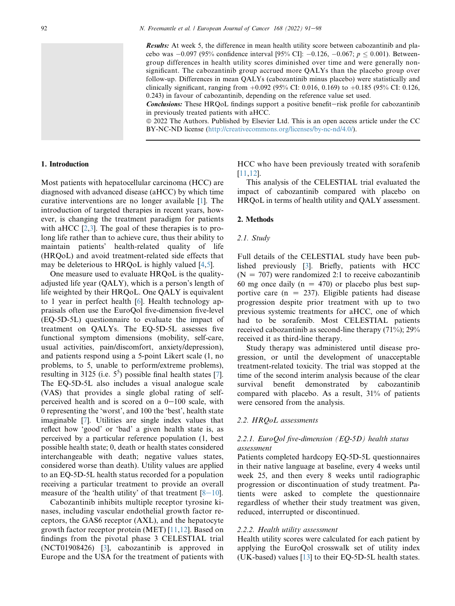Results: At week 5, the difference in mean health utility score between cabozantinib and placebo was  $-0.097$  (95% confidence interval [95% CI]:  $-0.126$ ,  $-0.067$ ;  $p < 0.001$ ). Betweengroup differences in health utility scores diminished over time and were generally nonsignificant. The cabozantinib group accrued more QALYs than the placebo group over follow-up. Differences in mean QALYs (cabozantinib minus placebo) were statistically and clinically significant, ranging from  $+0.092$  (95% CI: 0.016, 0.169) to  $+0.185$  (95% CI: 0.126, 0.243) in favour of cabozantinib, depending on the reference value set used.

**Conclusions:** These HRQoL findings support a positive benefit-risk profile for cabozantinib in previously treated patients with aHCC.

ª 2022 The Authors. Published by Elsevier Ltd. This is an open access article under the CC BY-NC-ND license (<http://creativecommons.org/licenses/by-nc-nd/4.0/>).

### 1. Introduction

Most patients with hepatocellular carcinoma (HCC) are diagnosed with advanced disease (aHCC) by which time curative interventions are no longer available [[1\]](#page-6-0). The introduction of targeted therapies in recent years, however, is changing the treatment paradigm for patients with aHCC [[2](#page-6-1)[,3](#page-6-2)]. The goal of these therapies is to prolong life rather than to achieve cure, thus their ability to maintain patients' health-related quality of life (HRQoL) and avoid treatment-related side effects that may be deleterious to HRQoL is highly valued [[4,](#page-7-0)[5\]](#page-7-1).

One measure used to evaluate HRQoL is the qualityadjusted life year (QALY), which is a person's length of life weighted by their HRQoL. One QALY is equivalent to 1 year in perfect health [\[6](#page-7-2)]. Health technology appraisals often use the EuroQol five-dimension five-level (EQ-5D-5L) questionnaire to evaluate the impact of treatment on QALYs. The EQ-5D-5L assesses five functional symptom dimensions (mobility, self-care, usual activities, pain/discomfort, anxiety/depression), and patients respond using a 5-point Likert scale (1, no problems, to 5, unable to perform/extreme problems), resulting in 3125 (i.e.  $5^5$ ) possible final health states [[7](#page-7-3)]. The EQ-5D-5L also includes a visual analogue scale (VAS) that provides a single global rating of selfperceived health and is scored on a  $0-100$  scale, with 0 representing the 'worst', and 100 the 'best', health state imaginable [\[7](#page-7-3)]. Utilities are single index values that reflect how 'good' or 'bad' a given health state is, as perceived by a particular reference population (1, best possible health state; 0, death or health states considered interchangeable with death; negative values states, considered worse than death). Utility values are applied to an EQ-5D-5L health status recorded for a population receiving a particular treatment to provide an overall measure of the 'health utility' of that treatment  $[8-10]$  $[8-10]$  $[8-10]$  $[8-10]$  $[8-10]$ .

Cabozantinib inhibits multiple receptor tyrosine kinases, including vascular endothelial growth factor receptors, the GAS6 receptor (AXL), and the hepatocyte growth factor receptor protein (MET) [[11,](#page-7-5)[12\]](#page-7-6). Based on findings from the pivotal phase 3 CELESTIAL trial (NCT01908426) [\[3](#page-6-2)], cabozantinib is approved in Europe and the USA for the treatment of patients with

HCC who have been previously treated with sorafenib [[11,](#page-7-5)[12\]](#page-7-6).

This analysis of the CELESTIAL trial evaluated the impact of cabozantinib compared with placebo on HRQoL in terms of health utility and QALY assessment.

#### 2. Methods

#### 2.1. Study

Full details of the CELESTIAL study have been published previously [\[3](#page-6-2)]. Briefly, patients with HCC  $(N = 707)$  were randomized 2:1 to receive cabozantinib 60 mg once daily ( $n = 470$ ) or placebo plus best supportive care ( $n = 237$ ). Eligible patients had disease progression despite prior treatment with up to two previous systemic treatments for aHCC, one of which had to be sorafenib. Most CELESTIAL patients received cabozantinib as second-line therapy (71%); 29% received it as third-line therapy.

Study therapy was administered until disease progression, or until the development of unacceptable treatment-related toxicity. The trial was stopped at the time of the second interim analysis because of the clear survival benefit demonstrated by cabozantinib compared with placebo. As a result, 31% of patients were censored from the analysis.

### 2.2. HRQoL assessments

## 2.2.1. EuroQol five-dimension  $(EO-5D)$  health status assessment

Patients completed hardcopy EQ-5D-5L questionnaires in their native language at baseline, every 4 weeks until week 25, and then every 8 weeks until radiographic progression or discontinuation of study treatment. Patients were asked to complete the questionnaire regardless of whether their study treatment was given, reduced, interrupted or discontinued.

#### 2.2.2. Health utility assessment

Health utility scores were calculated for each patient by applying the EuroQol crosswalk set of utility index (UK-based) values  $[13]$  $[13]$  to their EQ-5D-5L health states.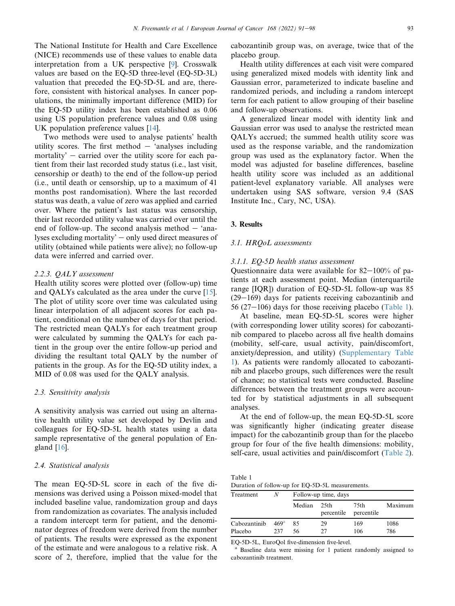The National Institute for Health and Care Excellence (NICE) recommends use of these values to enable data interpretation from a UK perspective [[9\]](#page-7-8). Crosswalk values are based on the EQ-5D three-level (EQ-5D-3L) valuation that preceded the EQ-5D-5L and are, therefore, consistent with historical analyses. In cancer populations, the minimally important difference (MID) for the EQ-5D utility index has been established as 0.06 using US population preference values and 0.08 using UK population preference values [[14\]](#page-7-9).

Two methods were used to analyse patients' health utility scores. The first method  $-$  'analyses including mortality'  $-$  carried over the utility score for each patient from their last recorded study status (i.e., last visit, censorship or death) to the end of the follow-up period (i.e., until death or censorship, up to a maximum of 41 months post randomisation). Where the last recorded status was death, a value of zero was applied and carried over. Where the patient's last status was censorship, their last recorded utility value was carried over until the end of follow-up. The second analysis method  $-$  'analyses excluding mortality'  $-$  only used direct measures of utility (obtained while patients were alive); no follow-up data were inferred and carried over.

## 2.2.3. QALY assessment

Health utility scores were plotted over (follow-up) time and QALYs calculated as the area under the curve [\[15](#page-7-10)]. The plot of utility score over time was calculated using linear interpolation of all adjacent scores for each patient, conditional on the number of days for that period. The restricted mean QALYs for each treatment group were calculated by summing the QALYs for each patient in the group over the entire follow-up period and dividing the resultant total QALY by the number of patients in the group. As for the EQ-5D utility index, a MID of 0.08 was used for the QALY analysis.

## 2.3. Sensitivity analysis

A sensitivity analysis was carried out using an alternative health utility value set developed by Devlin and colleagues for EQ-5D-5L health states using a data sample representative of the general population of England [\[16](#page-7-11)].

### 2.4. Statistical analysis

The mean EQ-5D-5L score in each of the five dimensions was derived using a Poisson mixed-model that included baseline value, randomization group and days from randomization as covariates. The analysis included a random intercept term for patient, and the denominator degrees of freedom were derived from the number of patients. The results were expressed as the exponent of the estimate and were analogous to a relative risk. A score of 2, therefore, implied that the value for the cabozantinib group was, on average, twice that of the placebo group.

Health utility differences at each visit were compared using generalized mixed models with identity link and Gaussian error, parameterized to indicate baseline and randomized periods, and including a random intercept term for each patient to allow grouping of their baseline and follow-up observations.

A generalized linear model with identity link and Gaussian error was used to analyse the restricted mean QALYs accrued; the summed health utility score was used as the response variable, and the randomization group was used as the explanatory factor. When the model was adjusted for baseline differences, baseline health utility score was included as an additional patient-level explanatory variable. All analyses were undertaken using SAS software, version 9.4 (SAS Institute Inc., Cary, NC, USA).

## 3. Results

### 3.1. HRQoL assessments

#### 3.1.1. EQ-5D health status assessment

Questionnaire data were available for  $82-100\%$  of patients at each assessment point. Median (interquartile range [IQR]) duration of EQ-5D-5L follow-up was 85  $(29-169)$  days for patients receiving cabozantinib and 56 (27–106) days for those receiving placebo ([Table 1](#page-2-0)).

At baseline, mean EQ-5D-5L scores were higher (with corresponding lower utility scores) for cabozantinib compared to placebo across all five health domains (mobility, self-care, usual activity, pain/discomfort, anxiety/depression, and utility) (Supplementary Table 1). As patients were randomly allocated to cabozantinib and placebo groups, such differences were the result of chance; no statistical tests were conducted. Baseline differences between the treatment groups were accounted for by statistical adjustments in all subsequent analyses.

At the end of follow-up, the mean EQ-5D-5L score was significantly higher (indicating greater disease impact) for the cabozantinib group than for the placebo group for four of the five health dimensions: mobility, self-care, usual activities and pain/discomfort [\(Table 2](#page-3-0)).

<span id="page-2-0"></span>Table 1 Duration of follow-up for EQ-5D-5L measurements.

| Treatment               |                         | Follow-up time, days |                    |                    |             |  |
|-------------------------|-------------------------|----------------------|--------------------|--------------------|-------------|--|
|                         |                         | Median               | 25th<br>percentile | 75th<br>percentile | Maximum     |  |
| Cabozantinib<br>Placebo | 469 <sup>a</sup><br>237 | 85<br>56             | 29<br>27           | 169<br>106         | 1086<br>786 |  |

EQ-5D-5L, EuroQol five-dimension five-level.

Baseline data were missing for 1 patient randomly assigned to cabozantinib treatment.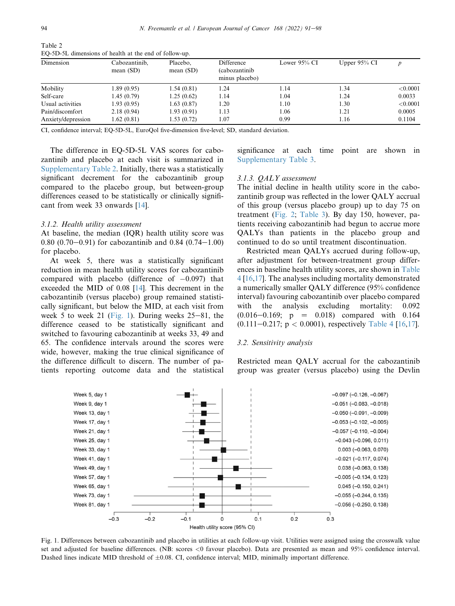| EQ-5D-5E difficusions of ficaliff at the clid of follow-up. |                              |                         |                                                |                 |                 |          |  |  |
|-------------------------------------------------------------|------------------------------|-------------------------|------------------------------------------------|-----------------|-----------------|----------|--|--|
| Dimension                                                   | Cabozantinib,<br>mean $(SD)$ | Placebo,<br>mean $(SD)$ | Difference<br>(cabozantinib)<br>minus placebo) | Lower $95\%$ CI | Upper $95\%$ CI |          |  |  |
| Mobility                                                    | 1.89(0.95)                   | 1.54(0.81)              | 1.24                                           | 1.14            | 1.34            | < 0.0001 |  |  |
| Self-care                                                   | 1.45(0.79)                   | 1.25(0.62)              | 1.14                                           | 1.04            | 1.24            | 0.0033   |  |  |
| Usual activities                                            | 1.93(0.95)                   | 1.63(0.87)              | 1.20                                           | 1.10            | 1.30            | < 0.0001 |  |  |
| Pain/discomfort                                             | 2.18(0.94)                   | 1.93(0.91)              | 1.13                                           | 1.06            | 1.21            | 0.0005   |  |  |
| Anxiety/depression                                          | 1.62(0.81)                   | 1.53 (0.72)             | 1.07                                           | 0.99            | 1.16            | 0.1104   |  |  |

<span id="page-3-0"></span>Table 2 EQ-5D-5L dimensions of health at the end of follow-up.

CI, confidence interval; EQ-5D-5L, EuroQol five-dimension five-level; SD, standard deviation.

The difference in EQ-5D-5L VAS scores for cabozantinib and placebo at each visit is summarized in Supplementary Table 2. Initially, there was a statistically significant decrement for the cabozantinib group compared to the placebo group, but between-group differences ceased to be statistically or clinically significant from week 33 onwards [[14\]](#page-7-9).

### 3.1.2. Health utility assessment

At baseline, the median (IQR) health utility score was 0.80  $(0.70-0.91)$  for cabozantinib and 0.84  $(0.74-1.00)$ for placebo.

At week 5, there was a statistically significant reduction in mean health utility scores for cabozantinib compared with placebo (difference of  $-0.097$ ) that exceeded the MID of 0.08 [[14\]](#page-7-9). This decrement in the cabozantinib (versus placebo) group remained statistically significant, but below the MID, at each visit from week 5 to week 21 ([Fig. 1\)](#page-3-1). During weeks  $25-81$ , the difference ceased to be statistically significant and switched to favouring cabozantinib at weeks 33, 49 and 65. The confidence intervals around the scores were wide, however, making the true clinical significance of the difference difficult to discern. The number of patients reporting outcome data and the statistical significance at each time point are shown in Supplementary Table 3.

#### 3.1.3. QALY assessment

The initial decline in health utility score in the cabozantinib group was reflected in the lower QALY accrual of this group (versus placebo group) up to day 75 on treatment ([Fig. 2;](#page-4-0) [Table 3\)](#page-4-1). By day 150, however, patients receiving cabozantinib had begun to accrue more QALYs than patients in the placebo group and continued to do so until treatment discontinuation.

Restricted mean QALYs accrued during follow-up, after adjustment for between-treatment group differences in baseline health utility scores, are shown in [Table](#page-4-2) [4](#page-4-2) [[16,](#page-7-11)[17\]](#page-7-12). The analyses including mortality demonstrated a numerically smaller QALY difference (95% confidence interval) favouring cabozantinib over placebo compared with the analysis excluding mortality: 0.092  $(0.016-0.169; \quad p = 0.018)$  compared with 0.164 (0.111–0.217;  $p < 0.0001$ ), respectively [Table 4](#page-4-2) [\[16](#page-7-11),[17\]](#page-7-12).

#### 3.2. Sensitivity analysis

Restricted mean QALY accrual for the cabozantinib group was greater (versus placebo) using the Devlin

<span id="page-3-1"></span>

Fig. 1. Differences between cabozantinib and placebo in utilities at each follow-up visit. Utilities were assigned using the crosswalk value set and adjusted for baseline differences. (NB: scores <0 favour placebo). Data are presented as mean and 95% confidence interval. Dashed lines indicate MID threshold of  $\pm 0.08$ . CI, confidence interval; MID, minimally important difference.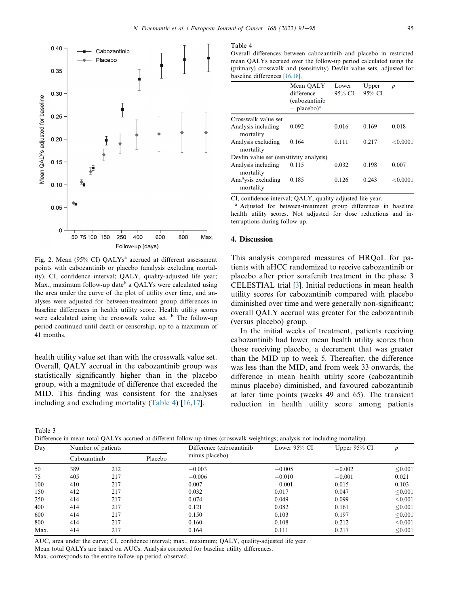<span id="page-4-0"></span>

Fig. 2. Mean  $(95\% \text{ CI})$  QALYs<sup>a</sup> accrued at different assessment points with cabozantinib or placebo (analysis excluding mortality). CI, confidence interval; QALY, quality-adjusted life year; Max., maximum follow-up date<sup>b</sup> a QALYs were calculated using the area under the curve of the plot of utility over time, and analyses were adjusted for between-treatment group differences in baseline differences in health utility score. Health utility scores were calculated using the crosswalk value set. <sup>b</sup> The follow-up period continued until death or censorship, up to a maximum of 41 months.

health utility value set than with the crosswalk value set. Overall, QALY accrual in the cabozantinib group was statistically significantly higher than in the placebo group, with a magnitude of difference that exceeded the MID. This finding was consistent for the analyses including and excluding mortality ([Table 4](#page-4-2)) [[16,](#page-7-11)[17](#page-7-12)].

<span id="page-4-2"></span>Table 4

Overall differences between cabozantinib and placebo in restricted mean QALYs accrued over the follow-up period calculated using the (primary) crosswalk and (sensitivity) Devlin value sets, adjusted for baseline differences [\[16](#page-7-11)[,18](#page-7-13)].

|                                              | Mean OALY<br>difference<br>(cabozantinib)<br>$-$ placebo) <sup>a</sup> | Lower<br>95% CI | Upper<br>95% CI | $\boldsymbol{p}$ |
|----------------------------------------------|------------------------------------------------------------------------|-----------------|-----------------|------------------|
| Crosswalk value set                          |                                                                        |                 |                 |                  |
| Analysis including<br>mortality              | 0.092                                                                  | 0.016           | 0.169           | 0.018            |
| Analysis excluding<br>mortality              | 0.164                                                                  | 0.111           | 0.217           | < 0.0001         |
| Devlin value set (sensitivity analysis)      |                                                                        |                 |                 |                  |
| Analysis including<br>mortality              | 0.115                                                                  | 0.032           | 0.198           | 0.007            |
| Ana <sup>a</sup> ysis excluding<br>mortality | 0.185                                                                  | 0.126           | 0.243           | < 0.0001         |

CI, confidence interval; QALY, quality-adjusted life year.

<sup>a</sup> Adjusted for between-treatment group differences in baseline health utility scores. Not adjusted for dose reductions and interruptions during follow-up.

## 4. Discussion

This analysis compared measures of HRQoL for patients with aHCC randomized to receive cabozantinib or placebo after prior sorafenib treatment in the phase 3 CELESTIAL trial [[3\]](#page-6-2). Initial reductions in mean health utility scores for cabozantinib compared with placebo diminished over time and were generally non-significant; overall QALY accrual was greater for the cabozantinib (versus placebo) group.

In the initial weeks of treatment, patients receiving cabozantinib had lower mean health utility scores than those receiving placebo, a decrement that was greater than the MID up to week 5. Thereafter, the difference was less than the MID, and from week 33 onwards, the difference in mean health utility score (cabozantinib minus placebo) diminished, and favoured cabozantinib at later time points (weeks 49 and 65). The transient reduction in health utility score among patients

<span id="page-4-1"></span>Table 3

Difference in mean total QALYs accrued at different follow-up times (crosswalk weightings; analysis not including mortality).

| Day  | Number of patients |     | Difference (cabozantinib | $\sim$ $\sim$<br>Lower $95\%$ CI | $\tilde{}$<br>. .<br>Upper $95\%$ CI |          |         |
|------|--------------------|-----|--------------------------|----------------------------------|--------------------------------------|----------|---------|
|      | Cabozantinib       |     | Placebo                  | minus placebo)                   |                                      |          |         |
| 50   | 389                | 212 |                          | $-0.003$                         | $-0.005$                             | $-0.002$ | < 0.001 |
| 75   | 405                | 217 |                          | $-0.006$                         | $-0.010$                             | $-0.001$ | 0.021   |
| 100  | 410                | 217 |                          | 0.007                            | $-0.001$                             | 0.015    | 0.103   |
| 150  | 412                | 217 |                          | 0.032                            | 0.017                                | 0.047    | < 0.001 |
| 250  | 414                | 217 |                          | 0.074                            | 0.049                                | 0.099    | < 0.001 |
| 400  | 414                | 217 |                          | 0.121                            | 0.082                                | 0.161    | < 0.001 |
| 600  | 414                | 217 |                          | 0.150                            | 0.103                                | 0.197    | < 0.001 |
| 800  | 414                | 217 |                          | 0.160                            | 0.108                                | 0.212    | < 0.001 |
| Max. | 414                | 217 |                          | 0.164                            | 0.111                                | 0.217    | < 0.001 |

AUC, area under the curve; CI, confidence interval; max., maximum; QALY, quality-adjusted life year.

Mean total QALYs are based on AUCs. Analysis corrected for baseline utility differences.

Max. corresponds to the entire follow-up period observed.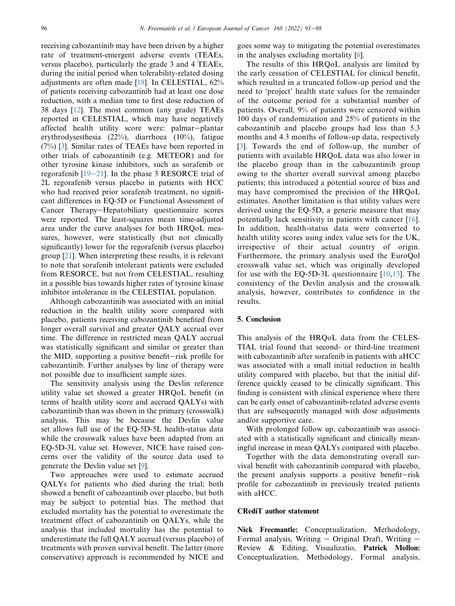receiving cabozantinib may have been driven by a higher rate of treatment-emergent adverse events (TEAEs, versus placebo), particularly the grade 3 and 4 TEAEs, during the initial period when tolerability-related dosing adjustments are often made [[18\]](#page-7-13). In CELESTIAL, 62% of patients receiving cabozantinib had at least one dose reduction, with a median time to first dose reduction of 38 days [[12\]](#page-7-6). The most common (any grade) TEAEs reported in CELESTIAL, which may have negatively affected health utility score were: palmar-plantar erythrodysesthesia (22%), diarrhoea (10%), fatigue (7%) [[3\]](#page-6-2). Similar rates of TEAEs have been reported in other trials of cabozantinib (e.g. METEOR) and for other tyrosine kinase inhibitors, such as sorafenib or regorafenib  $[19-21]$  $[19-21]$  $[19-21]$  $[19-21]$  $[19-21]$ . In the phase 3 RESORCE trial of 2L regorafenib versus placebo in patients with HCC who had received prior sorafenib treatment, no significant differences in EQ-5D or Functional Assessment of Cancer Therapy-Hepatobiliary questionnaire scores were reported. The least-squares mean time-adjusted area under the curve analyses for both HRQoL measures, however, were statistically (but not clinically significantly) lower for the regorafenib (versus placebo) group [[21\]](#page-7-15). When interpreting these results, it is relevant to note that sorafenib intolerant patients were excluded from RESORCE, but not from CELESTIAL, resulting in a possible bias towards higher rates of tyrosine kinase inhibitor intolerance in the CELESTIAL population.

Although cabozantinib was associated with an initial reduction in the health utility score compared with placebo, patients receiving cabozantinib benefited from longer overall survival and greater QALY accrual over time. The difference in restricted mean QALY accrual was statistically significant and similar or greater than the MID, supporting a positive benefit-risk profile for cabozantinib. Further analyses by line of therapy were not possible due to insufficient sample sizes.

The sensitivity analysis using the Devlin reference utility value set showed a greater HRQoL benefit (in terms of health utility score and accrued QALYs) with cabozantinib than was shown in the primary (crosswalk) analysis. This may be because the Devlin value set allows full use of the EQ-5D-5L health-status data while the crosswalk values have been adapted from an EQ-5D-3L value set. However, NICE have raised concerns over the validity of the source data used to generate the Devlin value set [[9\]](#page-7-8).

Two approaches were used to estimate accrued QALYs for patients who died during the trial; both showed a benefit of cabozantinib over placebo, but both may be subject to potential bias. The method that excluded mortality has the potential to overestimate the treatment effect of cabozantinib on QALYs, while the analysis that included mortality has the potential to underestimate the full QALY accrual (versus placebo) of treatments with proven survival benefit. The latter (more conservative) approach is recommended by NICE and

goes some way to mitigating the potential overestimates in the analyses excluding mortality [\[6](#page-7-2)].

The results of this HRQoL analysis are limited by the early cessation of CELESTIAL for clinical benefit, which resulted in a truncated follow-up period and the need to 'project' health state values for the remainder of the outcome period for a substantial number of patients. Overall, 9% of patients were censored within 100 days of randomization and 25% of patients in the cabozantinib and placebo groups had less than 5.3 months and 4.3 months of follow-up data, respectively [[3\]](#page-6-2). Towards the end of follow-up, the number of patients with available HRQoL data was also lower in the placebo group than in the cabozantinib group owing to the shorter overall survival among placebo patients; this introduced a potential source of bias and may have compromised the precision of the HRQoL estimates. Another limitation is that utility values were derived using the EQ-5D, a generic measure that may potentially lack sensitivity in patients with cancer [\[16](#page-7-11)]. In addition, health-status data were converted to health utility scores using index value sets for the UK, irrespective of their actual country of origin. Furthermore, the primary analysis used the EuroQol crosswalk value set, which was originally developed for use with the EQ-5D-3L questionnaire [[10,](#page-7-16)[13\]](#page-7-7). The consistency of the Devlin analysis and the crosswalk analysis, however, contributes to confidence in the results.

## 5. Conclusion

This analysis of the HRQoL data from the CELES-TIAL trial found that second- or third-line treatment with cabozantinib after sorafenib in patients with aHCC was associated with a small initial reduction in health utility compared with placebo, but that the initial difference quickly ceased to be clinically significant. This finding is consistent with clinical experience where there can be early onset of cabozantinib-related adverse events that are subsequently managed with dose adjustments and/or supportive care.

With prolonged follow up, cabozantinib was associated with a statistically significant and clinically meaningful increase in mean QALYs compared with placebo.

Together with the data demonstrating overall survival benefit with cabozantinib compared with placebo, the present analysis supports a positive benefit-risk profile for cabozantinib in previously treated patients with aHCC.

## CRediT author statement

Nick Freemantle: Conceptualization, Methodology, Formal analysis, Writing  $-$  Original Draft, Writing  $-$ Review & Editing, Visualizatio, Patrick Mollon: Conceptualization, Methodology, Formal analysis,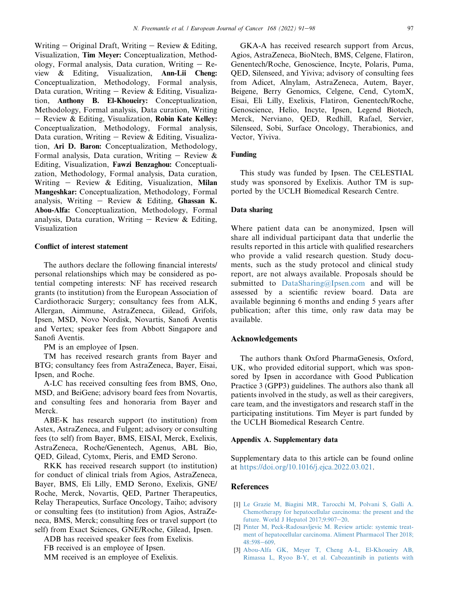Writing  $-$  Original Draft, Writing  $-$  Review & Editing, Visualization, Tim Meyer: Conceptualization, Methodology, Formal analysis, Data curation, Writing  $-$  Review & Editing, Visualization, Ann-Lii Cheng: Conceptualization, Methodology, Formal analysis, Data curation, Writing  $-$  Review & Editing, Visualization, Anthony B. El-Khoueiry: Conceptualization, Methodology, Formal analysis, Data curation, Writing - Review & Editing, Visualization, Robin Kate Kelley: Conceptualization, Methodology, Formal analysis, Data curation, Writing  $-$  Review & Editing, Visualization, Ari D. Baron: Conceptualization, Methodology, Formal analysis, Data curation, Writing  $-$  Review & Editing, Visualization, Fawzi Benzaghou: Conceptualization, Methodology, Formal analysis, Data curation, Writing  $-$  Review & Editing, Visualization, Milan Mangeshkar: Conceptualization, Methodology, Formal analysis, Writing - Review & Editing, Ghassan K. Abou-Alfa: Conceptualization, Methodology, Formal analysis, Data curation, Writing  $-$  Review & Editing, Visualization

## Conflict of interest statement

The authors declare the following financial interests/ personal relationships which may be considered as potential competing interests: NF has received research grants (to institution) from the European Association of Cardiothoracic Surgery; consultancy fees from ALK, Allergan, Aimmune, AstraZeneca, Gilead, Grifols, Ipsen, MSD, Novo Nordisk, Novartis, Sanofi Aventis and Vertex; speaker fees from Abbott Singapore and Sanofi Aventis.

PM is an employee of Ipsen.

TM has received research grants from Bayer and BTG; consultancy fees from AstraZeneca, Bayer, Eisai, Ipsen, and Roche.

A-LC has received consulting fees from BMS, Ono, MSD, and BeiGene; advisory board fees from Novartis, and consulting fees and honoraria from Bayer and Merck.

ABE-K has research support (to institution) from Astex, AstraZeneca, and Fulgent; advisory or consulting fees (to self) from Bayer, BMS, EISAI, Merck, Exelixis, AstraZeneca, Roche/Genentech, Agenus, ABL Bio, QED, Gilead, Cytomx, Pieris, and EMD Serono.

RKK has received research support (to institution) for conduct of clinical trials from Agios, AstraZeneca, Bayer, BMS, Eli Lilly, EMD Serono, Exelixis, GNE/ Roche, Merck, Novartis, QED, Partner Therapeutics, Relay Therapeutics, Surface Oncology, Taiho; advisory or consulting fees (to institution) from Agios, AstraZeneca, BMS, Merck; consulting fees or travel support (to self) from Exact Sciences, GNE/Roche, Gilead, Ipsen.

ADB has received speaker fees from Exelixis.

FB received is an employee of Ipsen.

MM received is an employee of Exelixis.

GKA-A has received research support from Arcus, Agios, AstraZeneca, BioNtech, BMS, Celgene, Flatiron, Genentech/Roche, Genoscience, Incyte, Polaris, Puma, QED, Silenseed, and Yiviva; advisory of consulting fees from Adicet, Alnylam, AstraZeneca, Autem, Bayer, Beigene, Berry Genomics, Celgene, Cend, CytomX, Eisai, Eli Lilly, Exelixis, Flatiron, Genentech/Roche, Genoscience, Helio, Incyte, Ipsen, Legend Biotech, Merck, Nerviano, QED, Redhill, Rafael, Servier, Silenseed, Sobi, Surface Oncology, Therabionics, and Vector, Yiviva.

## Funding

This study was funded by Ipsen. The CELESTIAL study was sponsored by Exelixis. Author TM is supported by the UCLH Biomedical Research Centre.

### Data sharing

Where patient data can be anonymized, Ipsen will share all individual participant data that underlie the results reported in this article with qualified researchers who provide a valid research question. Study documents, such as the study protocol and clinical study report, are not always available. Proposals should be submitted to [DataSharing@Ipsen.com](mailto:DataSharing@Ipsen.com) and will be assessed by a scientific review board. Data are available beginning 6 months and ending 5 years after publication; after this time, only raw data may be available.

## Acknowledgements

The authors thank Oxford PharmaGenesis, Oxford, UK, who provided editorial support, which was sponsored by Ipsen in accordance with Good Publication Practice 3 (GPP3) guidelines. The authors also thank all patients involved in the study, as well as their caregivers, care team, and the investigators and research staff in the participating institutions. Tim Meyer is part funded by the UCLH Biomedical Research Centre.

#### Appendix A. Supplementary data

Supplementary data to this article can be found online at [https://doi.org/10.1016/j.ejca.2022.03.021.](https://doi.org/10.1016/j.ejca.2022.03.021)

### References

- <span id="page-6-0"></span>[1] [Le Grazie M, Biagini MR, Tarocchi M, Polvani S, Galli A.](http://refhub.elsevier.com/S0959-8049(22)00165-4/sref1) [Chemotherapy for hepatocellular carcinoma: the present and the](http://refhub.elsevier.com/S0959-8049(22)00165-4/sref1) future. World J Hepatol  $2017;9:907-20$ .
- <span id="page-6-1"></span>[2] [Pinter M, Peck-Radosavljevic M. Review article: systemic treat](http://refhub.elsevier.com/S0959-8049(22)00165-4/sref2)[ment of hepatocellular carcinoma. Aliment Pharmacol Ther 2018;](http://refhub.elsevier.com/S0959-8049(22)00165-4/sref2)  $48:598-609.$  $48:598-609.$  $48:598-609.$
- <span id="page-6-2"></span>[3] [Abou-Alfa GK, Meyer T, Cheng A-L, El-Khoueiry AB,](http://refhub.elsevier.com/S0959-8049(22)00165-4/sref3) [Rimassa L, Ryoo B-Y, et al. Cabozantinib in patients with](http://refhub.elsevier.com/S0959-8049(22)00165-4/sref3)